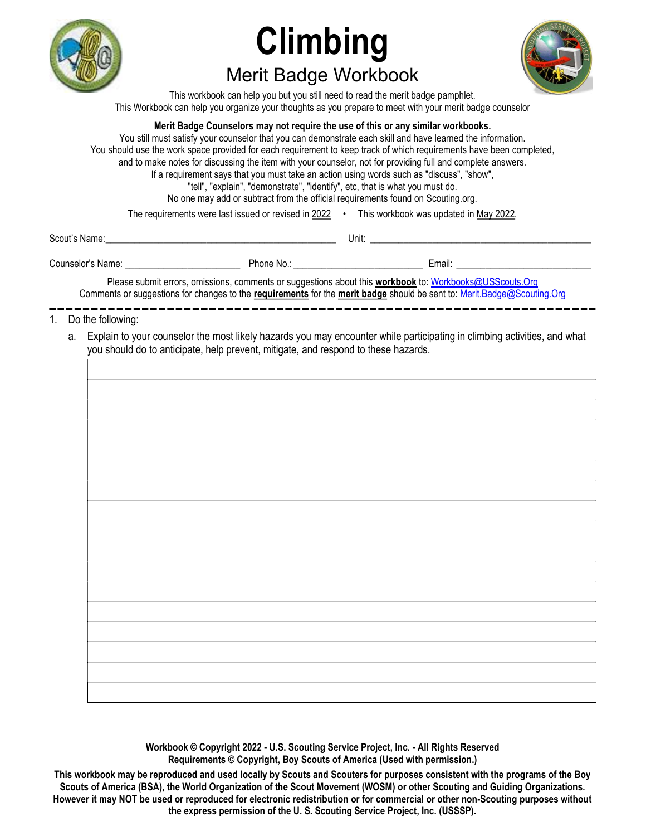

# **Climbing** Merit Badge Workbook

This workbook can help you but you still need to read the merit badge pamphlet. This Workbook can help you organize your thoughts as you prepare to meet with your merit badge counselor

#### Merit Badge Counselors may not require the use of this or any similar workbooks.

You still must satisfy your counselor that you can demonstrate each skill and have learned the information. You should use the work space provided for each requirement to keep track of which requirements have been completed, and to make notes for discussing the item with your counselor, not for providing full and complete answers. If a requirement says that you must take an action using words such as "discuss", "show", "tell", "explain", "demonstrate", "identify", etc, that is what you must do. No one may add or subtract from the official requirements found on Scouting.org.

The requirements were last issued or revised in 2022 • This workbook was updated in May 2022.

| Scout'<br>, Name:<br>טו | Unit |
|-------------------------|------|
|                         |      |

| Counselor'<br>Name: | Phone,<br>NO. | <br>:mail: |
|---------------------|---------------|------------|
|                     |               |            |

Please submit errors, omissions, comments or suggestions about this workbook to: Workbooks@USScouts.Org Comments or suggestions for changes to the requirements for the merit badge should be sent to: Merit.Badge@Scouting.Org

- 1. Do the following:
	- a. Explain to your counselor the most likely hazards you may encounter while participating in climbing activities, and what you should do to anticipate, help prevent, mitigate, and respond to these hazards.

Workbook © Copyright 2022 - U.S. Scouting Service Project, Inc. - All Rights Reserved Requirements © Copyright, Boy Scouts of America (Used with permission.)

This workbook may be reproduced and used locally by Scouts and Scouters for purposes consistent with the programs of the Boy Scouts of America (BSA), the World Organization of the Scout Movement (WOSM) or other Scouting and Guiding Organizations. However it may NOT be used or reproduced for electronic redistribution or for commercial or other non-Scouting purposes without the express permission of the U. S. Scouting Service Project, Inc. (USSSP).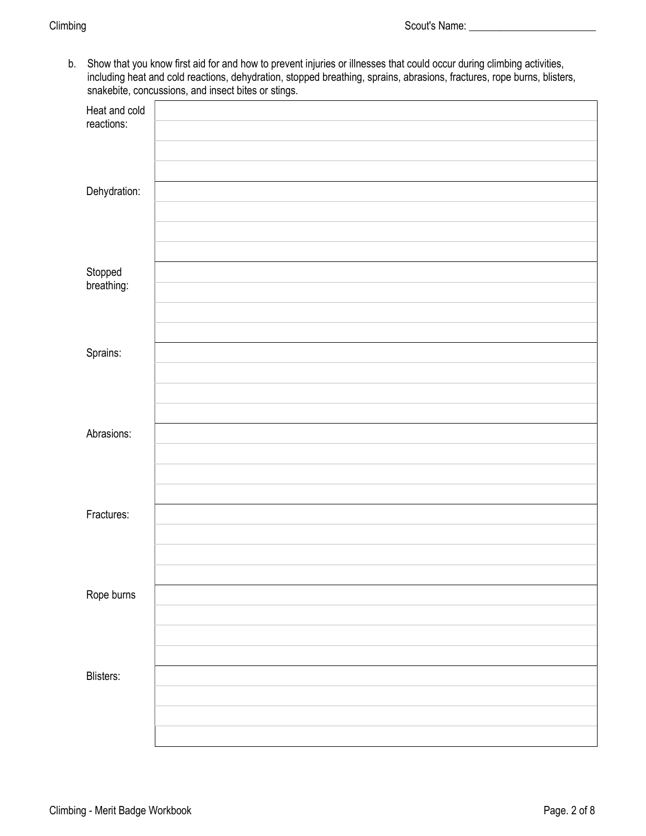b. Show that you know first aid for and how to prevent injuries or illnesses that could occur during climbing activities, including heat and cold reactions, dehydration, stopped breathing, sprains, abrasions, fractures, rope burns, blisters, snakebite, concussions, and insect bites or stings.

|                             | $\check{ }$ |
|-----------------------------|-------------|
| Heat and cold<br>reactions: |             |
|                             |             |
| Dehydration:                |             |
|                             |             |
| Stopped<br>breathing:       |             |
|                             |             |
| Sprains:                    |             |
|                             |             |
| Abrasions:                  |             |
|                             |             |
| Fractures:                  |             |
|                             |             |
| Rope burns                  |             |
|                             |             |
| Blisters:                   |             |
|                             |             |
|                             |             |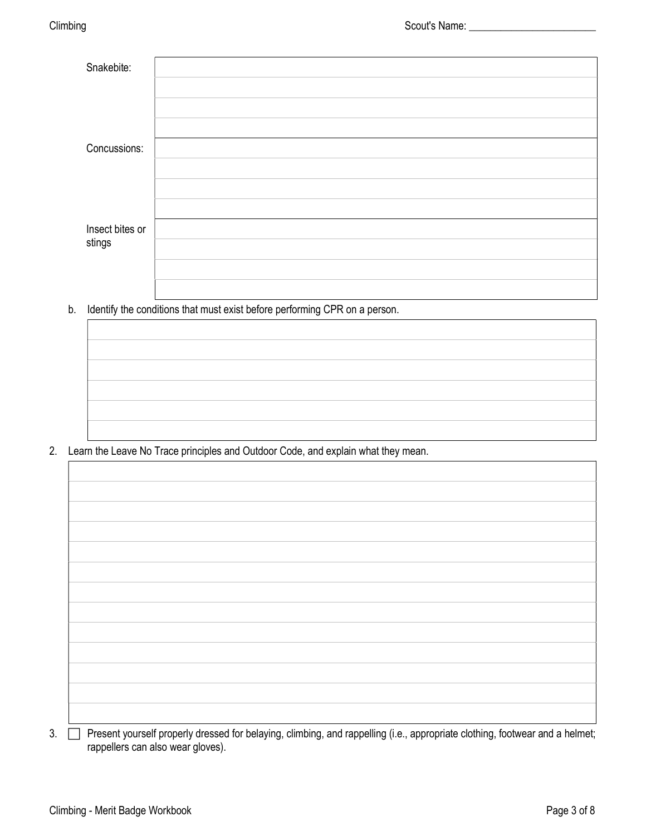| Snakebite:      |  |
|-----------------|--|
|                 |  |
|                 |  |
|                 |  |
| Concussions:    |  |
|                 |  |
|                 |  |
|                 |  |
| Insect bites or |  |
| stings          |  |
|                 |  |
|                 |  |

b. Identify the conditions that must exist before performing CPR on a person.



2. Learn the Leave No Trace principles and Outdoor Code, and explain what they mean.

| $\Box$ Decoration and concerns decorated for balance of districts and regard line fixed concernights of different factors and a balance |  |  |
|-----------------------------------------------------------------------------------------------------------------------------------------|--|--|

3.  $\Box$  Present yourself properly dressed for belaying, climbing, and rappelling (i.e., appropriate clothing, footwear and a helmet; rappellers can also wear gloves).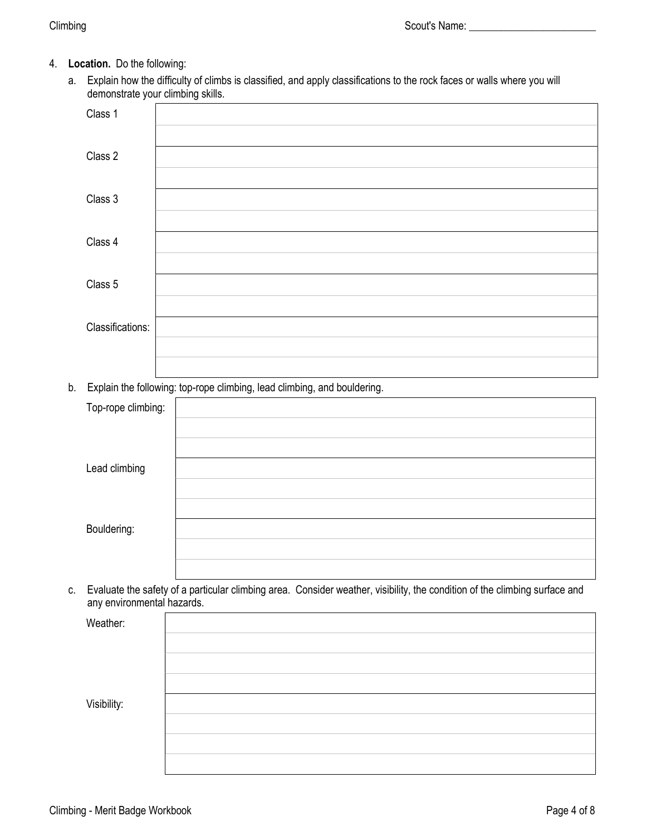- 4. Location. Do the following:
	- a. Explain how the difficulty of climbs is classified, and apply classifications to the rock faces or walls where you will demonstrate your climbing skills.

| Class 1          |  |
|------------------|--|
|                  |  |
| Class 2          |  |
|                  |  |
| Class 3          |  |
|                  |  |
| Class 4          |  |
|                  |  |
| Class 5          |  |
|                  |  |
| Classifications: |  |
|                  |  |
|                  |  |

b. Explain the following: top-rope climbing, lead climbing, and bouldering.

| Top-rope climbing: |  |
|--------------------|--|
|                    |  |
|                    |  |
| Lead climbing      |  |
|                    |  |
|                    |  |
| Bouldering:        |  |
|                    |  |
|                    |  |

c. Evaluate the safety of a particular climbing area. Consider weather, visibility, the condition of the climbing surface and any environmental hazards.

| Weather:    |  |
|-------------|--|
|             |  |
|             |  |
|             |  |
| Visibility: |  |
|             |  |
|             |  |
|             |  |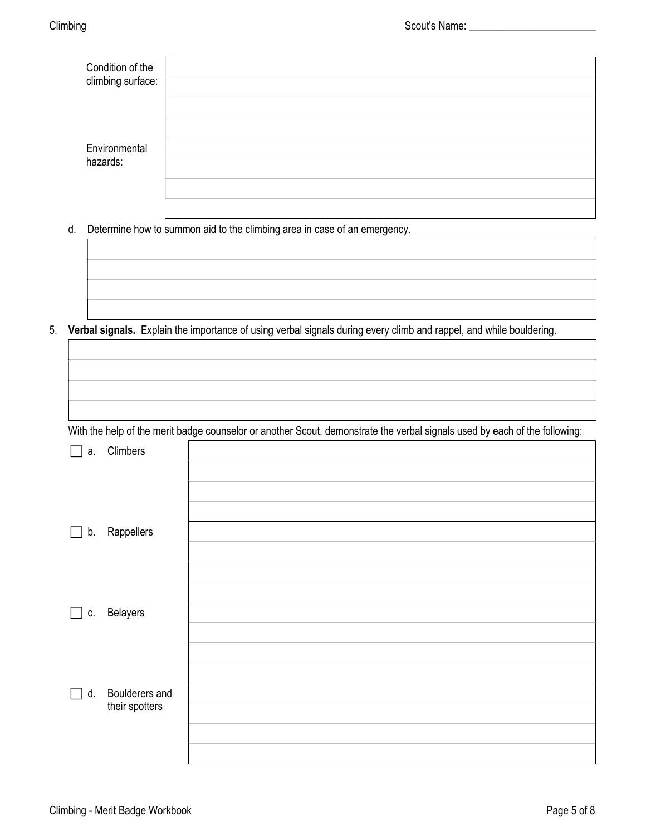| Condition of the  |  |
|-------------------|--|
| climbing surface: |  |
|                   |  |
|                   |  |
| Environmental     |  |
| hazards:          |  |
|                   |  |
|                   |  |

d. Determine how to summon aid to the climbing area in case of an emergency.

5. Verbal signals. Explain the importance of using verbal signals during every climb and rappel, and while bouldering.

|  |  | With the help of the merit badge counselor or another Scout, demonstrate the verbal signals used by each of the following: |  |
|--|--|----------------------------------------------------------------------------------------------------------------------------|--|
|  |  |                                                                                                                            |  |

| а.                      | Climbers                         |  |
|-------------------------|----------------------------------|--|
|                         |                                  |  |
|                         |                                  |  |
|                         |                                  |  |
| $\vert \ \ \vert$       | b. Rappellers                    |  |
|                         |                                  |  |
|                         |                                  |  |
|                         |                                  |  |
| $\lfloor \cdot \rfloor$ | c. Belayers                      |  |
|                         |                                  |  |
|                         |                                  |  |
|                         |                                  |  |
| d.<br>$\Box$            | Boulderers and<br>their spotters |  |
|                         |                                  |  |
|                         |                                  |  |
|                         |                                  |  |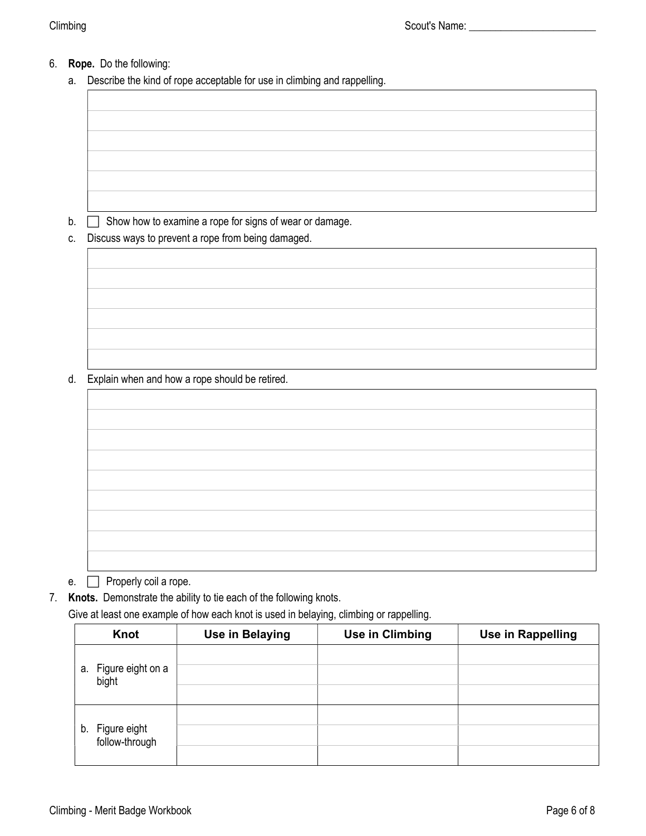# 6. Rope. Do the following:

a. Describe the kind of rope acceptable for use in climbing and rappelling.

 $b.$   $\Box$  Show how to examine a rope for signs of wear or damage.

c. Discuss ways to prevent a rope from being damaged.

d. Explain when and how a rope should be retired.

e.  $\Box$  Properly coil a rope.

7. Knots. Demonstrate the ability to tie each of the following knots.

Give at least one example of how each knot is used in belaying, climbing or rappelling.

| Knot                                 | <b>Use in Belaying</b> | <b>Use in Climbing</b> | <b>Use in Rappelling</b> |
|--------------------------------------|------------------------|------------------------|--------------------------|
| Figure eight on a<br>а.<br>bight     |                        |                        |                          |
| Figure eight<br>follow-through<br>b. |                        |                        |                          |
|                                      |                        |                        |                          |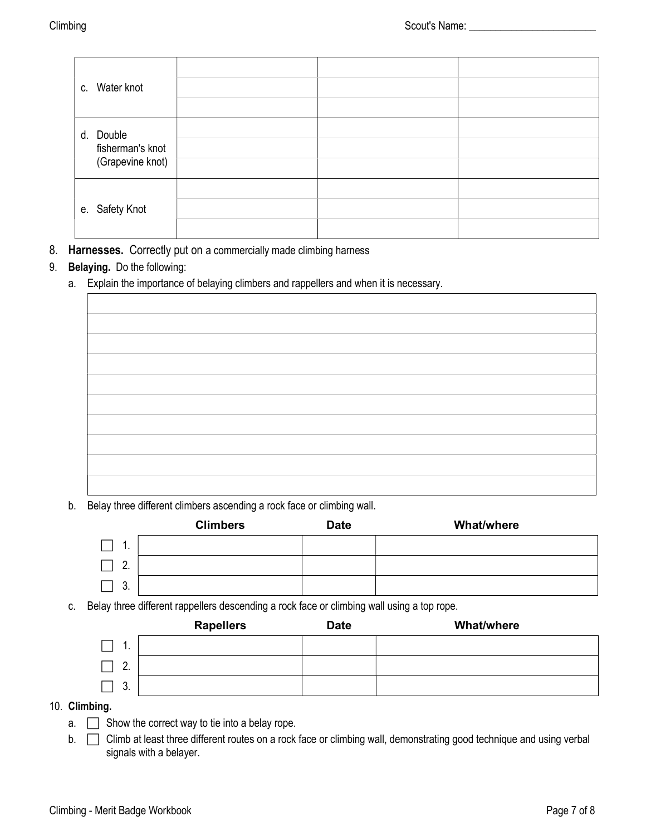| c. Water knot                                     |  |  |
|---------------------------------------------------|--|--|
| d. Double<br>fisherman's knot<br>(Grapevine knot) |  |  |
| e. Safety Knot                                    |  |  |

8. Harnesses. Correctly put on a commercially made climbing harness

### 9. Belaying. Do the following:

a. Explain the importance of belaying climbers and rappellers and when it is necessary.

b. Belay three different climbers ascending a rock face or climbing wall.

|          | <b>Climbers</b> | <b>Date</b> | <b>What/where</b> |
|----------|-----------------|-------------|-------------------|
| . .      |                 |             |                   |
| <u>.</u> |                 |             |                   |
| ົ<br>v.  |                 |             |                   |

c. Belay three different rappellers descending a rock face or climbing wall using a top rope.

|               | <b>Rapellers</b> | <b>Date</b> | <b>What/where</b> |
|---------------|------------------|-------------|-------------------|
| . .           |                  |             |                   |
| C<br><u>.</u> |                  |             |                   |
| ◠<br>v.       |                  |             |                   |

#### 10. Climbing.

- $a.$  Show the correct way to tie into a belay rope.
- b.  $\Box$  Climb at least three different routes on a rock face or climbing wall, demonstrating good technique and using verbal signals with a belayer.